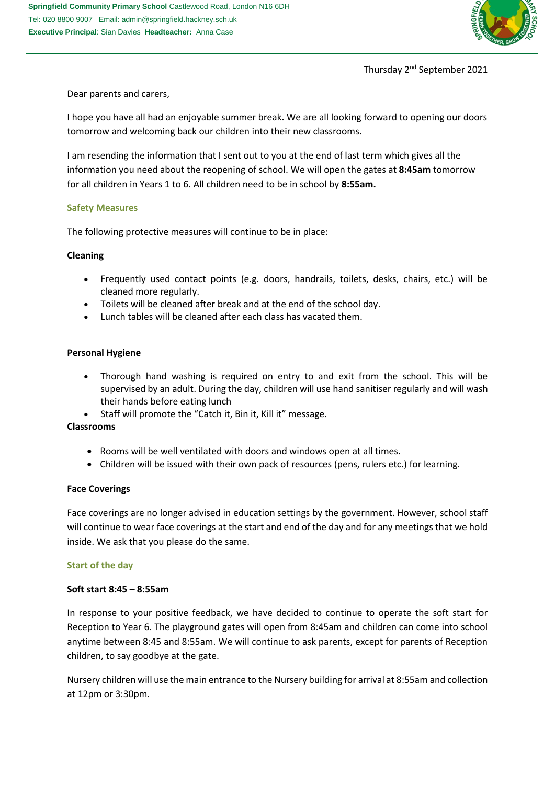

Thursday 2nd September 2021

Dear parents and carers,

I hope you have all had an enjoyable summer break. We are all looking forward to opening our doors tomorrow and welcoming back our children into their new classrooms.

I am resending the information that I sent out to you at the end of last term which gives all the information you need about the reopening of school. We will open the gates at **8:45am** tomorrow for all children in Years 1 to 6. All children need to be in school by **8:55am.**

# **Safety Measures**

The following protective measures will continue to be in place:

# **Cleaning**

- Frequently used contact points (e.g. doors, handrails, toilets, desks, chairs, etc.) will be cleaned more regularly.
- Toilets will be cleaned after break and at the end of the school day.
- Lunch tables will be cleaned after each class has vacated them.

# **Personal Hygiene**

- Thorough hand washing is required on entry to and exit from the school. This will be supervised by an adult. During the day, children will use hand sanitiser regularly and will wash their hands before eating lunch
- Staff will promote the "Catch it, Bin it, Kill it" message.

## **Classrooms**

- Rooms will be well ventilated with doors and windows open at all times.
- Children will be issued with their own pack of resources (pens, rulers etc.) for learning.

## **Face Coverings**

Face coverings are no longer advised in education settings by the government. However, school staff will continue to wear face coverings at the start and end of the day and for any meetings that we hold inside. We ask that you please do the same.

## **Start of the day**

## **Soft start 8:45 – 8:55am**

In response to your positive feedback, we have decided to continue to operate the soft start for Reception to Year 6. The playground gates will open from 8:45am and children can come into school anytime between 8:45 and 8:55am. We will continue to ask parents, except for parents of Reception children, to say goodbye at the gate.

Nursery children will use the main entrance to the Nursery building for arrival at 8:55am and collection at 12pm or 3:30pm.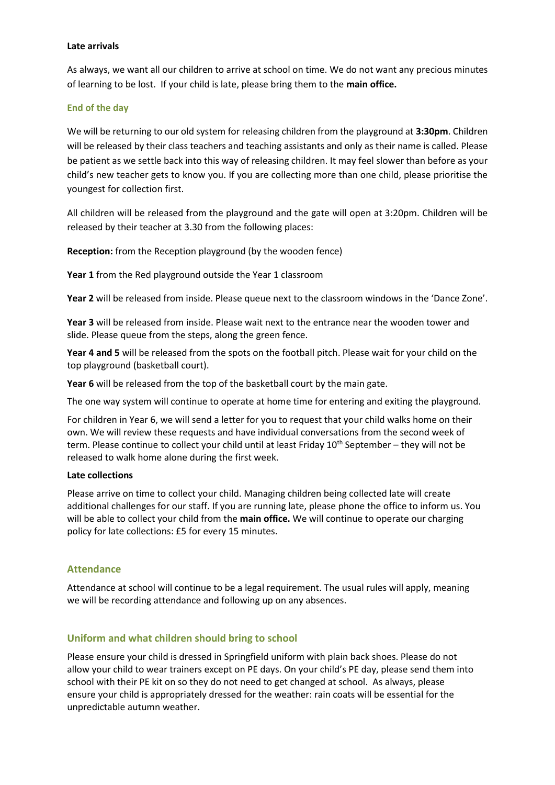## **Late arrivals**

As always, we want all our children to arrive at school on time. We do not want any precious minutes of learning to be lost. If your child is late, please bring them to the **main office.**

### **End of the day**

We will be returning to our old system for releasing children from the playground at **3:30pm**. Children will be released by their class teachers and teaching assistants and only as their name is called. Please be patient as we settle back into this way of releasing children. It may feel slower than before as your child's new teacher gets to know you. If you are collecting more than one child, please prioritise the youngest for collection first.

All children will be released from the playground and the gate will open at 3:20pm. Children will be released by their teacher at 3.30 from the following places:

**Reception:** from the Reception playground (by the wooden fence)

**Year 1** from the Red playground outside the Year 1 classroom

**Year 2** will be released from inside. Please queue next to the classroom windows in the 'Dance Zone'.

**Year 3** will be released from inside. Please wait next to the entrance near the wooden tower and slide. Please queue from the steps, along the green fence.

**Year 4 and 5** will be released from the spots on the football pitch. Please wait for your child on the top playground (basketball court).

Year 6 will be released from the top of the basketball court by the main gate.

The one way system will continue to operate at home time for entering and exiting the playground.

For children in Year 6, we will send a letter for you to request that your child walks home on their own. We will review these requests and have individual conversations from the second week of term. Please continue to collect your child until at least Friday 10<sup>th</sup> September – they will not be released to walk home alone during the first week.

#### **Late collections**

Please arrive on time to collect your child. Managing children being collected late will create additional challenges for our staff. If you are running late, please phone the office to inform us. You will be able to collect your child from the **main office.** We will continue to operate our charging policy for late collections: £5 for every 15 minutes.

## **Attendance**

Attendance at school will continue to be a legal requirement. The usual rules will apply, meaning we will be recording attendance and following up on any absences.

## **Uniform and what children should bring to school**

Please ensure your child is dressed in Springfield uniform with plain back shoes. Please do not allow your child to wear trainers except on PE days. On your child's PE day, please send them into school with their PE kit on so they do not need to get changed at school. As always, please ensure your child is appropriately dressed for the weather: rain coats will be essential for the unpredictable autumn weather.